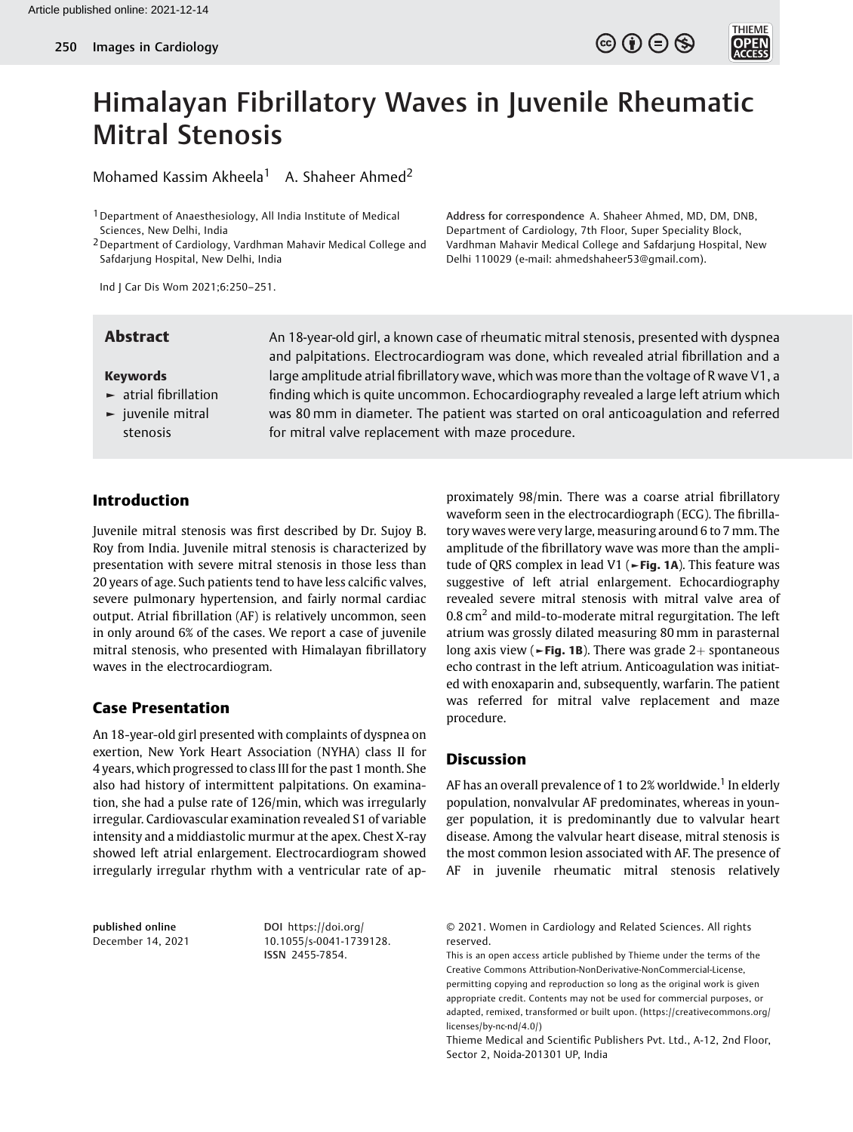

**THIEME** 

Address for correspondence A. Shaheer Ahmed, MD, DM, DNB, Department of Cardiology, 7th Floor, Super Speciality Block, Vardhman Mahavir Medical College and Safdarjung Hospital, New

Delhi 110029 (e-mail: [ahmedshaheer53@gmail.com](mailto:ahmedshaheer53@gmail.com)).



Mohamed Kassim Akheela<sup>1</sup> A. Shaheer Ahmed<sup>2</sup>

1Department of Anaesthesiology, All India Institute of Medical Sciences, New Delhi, India

2Department of Cardiology, Vardhman Mahavir Medical College and Safdarjung Hospital, New Delhi, India

Ind J Car Dis Wom 2021;6:250–251.

### Keywords

- ► atrial fibrillation
- ► juvenile mitral stenosis

**Abstract** An 18-year-old girl, a known case of rheumatic mitral stenosis, presented with dyspnea and palpitations. Electrocardiogram was done, which revealed atrial fibrillation and a large amplitude atrial fibrillatory wave, which was more than the voltage of R wave V1, a finding which is quite uncommon. Echocardiography revealed a large left atrium which was 80 mm in diameter. The patient was started on oral anticoagulation and referred for mitral valve replacement with maze procedure.

# Introduction

Juvenile mitral stenosis was first described by Dr. Sujoy B. Roy from India. Juvenile mitral stenosis is characterized by presentation with severe mitral stenosis in those less than 20 years of age. Such patients tend to have less calcific valves, severe pulmonary hypertension, and fairly normal cardiac output. Atrial fibrillation (AF) is relatively uncommon, seen in only around 6% of the cases. We report a case of juvenile mitral stenosis, who presented with Himalayan fibrillatory waves in the electrocardiogram.

## Case Presentation

An 18-year-old girl presented with complaints of dyspnea on exertion, New York Heart Association (NYHA) class II for 4 years, which progressed to class III for the past 1 month. She also had history of intermittent palpitations. On examination, she had a pulse rate of 126/min, which was irregularly irregular. Cardiovascular examination revealed S1 of variable intensity and a middiastolic murmur at the apex. Chest X-ray showed left atrial enlargement. Electrocardiogram showed irregularly irregular rhythm with a ventricular rate of ap-

published online December 14, 2021

DOI [https://doi.org/](https://doi.org/10.1055/s-0041-1739128) [10.1055/s-0041-1739128](https://doi.org/10.1055/s-0041-1739128). ISSN 2455-7854.

proximately 98/min. There was a coarse atrial fibrillatory waveform seen in the electrocardiograph (ECG). The fibrillatory waves were very large, measuring around 6 to 7 mm. The amplitude of the fibrillatory wave was more than the amplitude of QRS complex in lead V1 (►Fig. 1A). This feature was suggestive of left atrial enlargement. Echocardiography revealed severe mitral stenosis with mitral valve area of 0.8  $\text{cm}^2$  and mild-to-moderate mitral regurgitation. The left atrium was grossly dilated measuring 80 mm in parasternal long axis view ( $\blacktriangleright$ Fig. 1B). There was grade 2+ spontaneous echo contrast in the left atrium. Anticoagulation was initiated with enoxaparin and, subsequently, warfarin. The patient was referred for mitral valve replacement and maze procedure.

### Discussion

AF has an overall prevalence of 1 to 2% worldwide.<sup>1</sup> In elderly population, nonvalvular AF predominates, whereas in younger population, it is predominantly due to valvular heart disease. Among the valvular heart disease, mitral stenosis is the most common lesion associated with AF. The presence of AF in juvenile rheumatic mitral stenosis relatively

<sup>© 2021.</sup> Women in Cardiology and Related Sciences. All rights reserved.

This is an open access article published by Thieme under the terms of the Creative Commons Attribution-NonDerivative-NonCommercial-License, permitting copying and reproduction so long as the original work is given appropriate credit. Contents may not be used for commercial purposes, or adapted, remixed, transformed or built upon. (https://creativecommons.org/ licenses/by-nc-nd/4.0/)

Thieme Medical and Scientific Publishers Pvt. Ltd., A-12, 2nd Floor, Sector 2, Noida-201301 UP, India